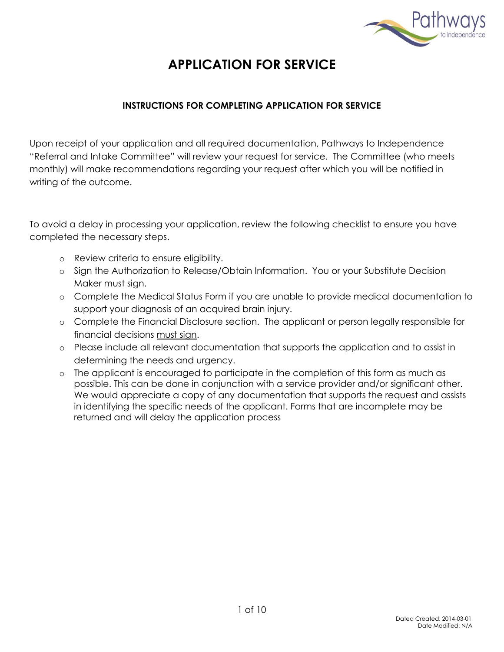

# **APPLICATION FOR SERVICE**

## **INSTRUCTIONS FOR COMPLETING APPLICATION FOR SERVICE**

Upon receipt of your application and all required documentation, Pathways to Independence "Referral and Intake Committee" will review your request for service. The Committee (who meets monthly) will make recommendations regarding your request after which you will be notified in writing of the outcome.

To avoid a delay in processing your application, review the following checklist to ensure you have completed the necessary steps.

- o Review criteria to ensure eligibility.
- o Sign the Authorization to Release/Obtain Information. You or your Substitute Decision Maker must sign.
- o Complete the Medical Status Form if you are unable to provide medical documentation to support your diagnosis of an acquired brain injury.
- o Complete the Financial Disclosure section. The applicant or person legally responsible for financial decisions must sign.
- o Please include all relevant documentation that supports the application and to assist in determining the needs and urgency.
- o The applicant is encouraged to participate in the completion of this form as much as possible. This can be done in conjunction with a service provider and/or significant other. We would appreciate a copy of any documentation that supports the request and assists in identifying the specific needs of the applicant. Forms that are incomplete may be returned and will delay the application process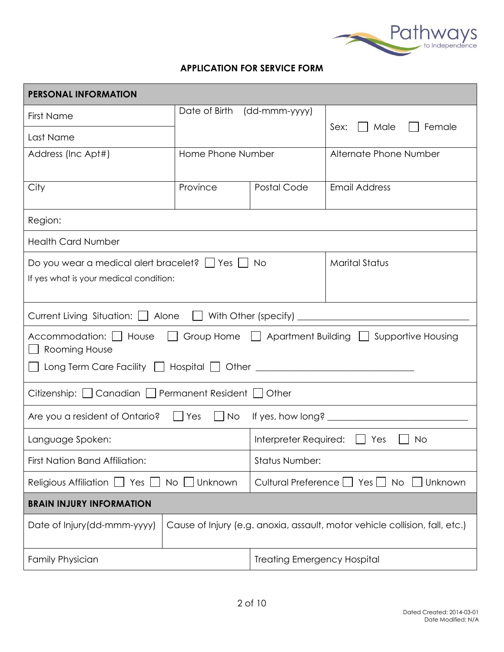

#### **APPLICATION FOR SERVICE FORM**

| <b>PERSONAL INFORMATION</b>                                                                    |                                |                                                                             |                                    |  |
|------------------------------------------------------------------------------------------------|--------------------------------|-----------------------------------------------------------------------------|------------------------------------|--|
| First Name                                                                                     | Date of Birth<br>(dd-mmm-yyyy) |                                                                             |                                    |  |
| Last Name                                                                                      |                                |                                                                             | Sex:<br>Male<br>Female             |  |
| Address (Inc Apt#)                                                                             | Home Phone Number              |                                                                             | Alternate Phone Number             |  |
|                                                                                                |                                |                                                                             |                                    |  |
| City                                                                                           | Province                       | Postal Code                                                                 | <b>Email Address</b>               |  |
| Region:                                                                                        |                                |                                                                             |                                    |  |
| <b>Health Card Number</b>                                                                      |                                |                                                                             |                                    |  |
| Do you wear a medical alert bracelet? $\Box$ Yes $\Box$ No                                     |                                |                                                                             | <b>Marital Status</b>              |  |
| If yes what is your medical condition:                                                         |                                |                                                                             |                                    |  |
|                                                                                                |                                |                                                                             |                                    |  |
| Current Living Situation:   Alone                                                              |                                |                                                                             | $\Box$ With Other (specify) $\Box$ |  |
| Accommodation: □ House □ Group Home □ Apartment Building □ Supportive Housing<br>Rooming House |                                |                                                                             |                                    |  |
| Long Term Care Facility     Hospital     Other _________________________________               |                                |                                                                             |                                    |  |
|                                                                                                |                                |                                                                             |                                    |  |
| Citizenship: □ Canadian □ Permanent Resident □ Other                                           |                                |                                                                             |                                    |  |
| Are you a resident of Ontario? $\Box$ Yes                                                      | $\vert$ No                     |                                                                             |                                    |  |
| Language Spoken:                                                                               |                                | Interpreter Required:<br>Yes<br><b>No</b>                                   |                                    |  |
| <b>First Nation Band Affiliation:</b>                                                          |                                | <b>Status Number:</b>                                                       |                                    |  |
| Religious Affiliation<br>Yes $\Box$<br>No    <br>Unknown                                       |                                | Cultural Preference     Yes     No<br>Unknown                               |                                    |  |
| <b>BRAIN INJURY INFORMATION</b>                                                                |                                |                                                                             |                                    |  |
| Date of Injury (dd-mmm-yyyy)                                                                   |                                | Cause of Injury (e.g. anoxia, assault, motor vehicle collision, fall, etc.) |                                    |  |
| <b>Family Physician</b>                                                                        |                                | <b>Treating Emergency Hospital</b>                                          |                                    |  |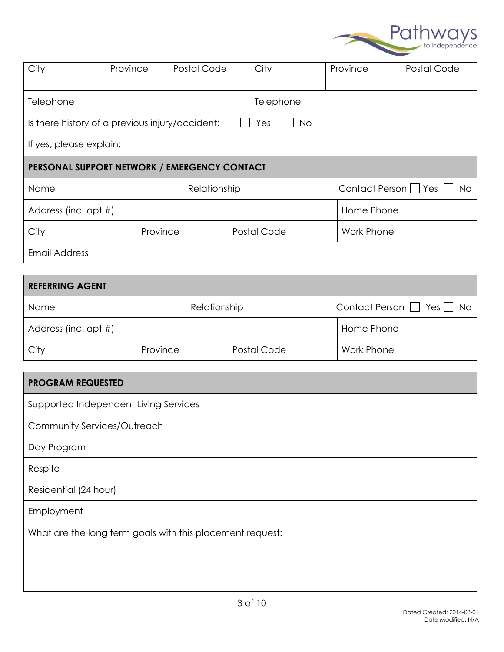

| City                                            | Province | Postal Code  | City        | Province             | Postal Code |
|-------------------------------------------------|----------|--------------|-------------|----------------------|-------------|
| Telephone                                       |          |              | Telephone   |                      |             |
| Is there history of a previous injury/accident: |          |              | No<br>Yes   |                      |             |
| If yes, please explain:                         |          |              |             |                      |             |
| PERSONAL SUPPORT NETWORK / EMERGENCY CONTACT    |          |              |             |                      |             |
|                                                 |          |              |             |                      |             |
| Name                                            |          | Relationship |             | Contact Person   Yes | <b>No</b>   |
| Address (inc. apt #)                            |          |              |             | Home Phone           |             |
| City                                            | Province |              | Postal Code | <b>Work Phone</b>    |             |
| <b>Email Address</b>                            |          |              |             |                      |             |
|                                                 |          |              |             |                      |             |

| Name                 | Relationship |             | Contact Person $\Box$ Yes $\Box$ No |
|----------------------|--------------|-------------|-------------------------------------|
| Address (inc. apt #) |              |             | Home Phone                          |
| City                 | Province     | Postal Code | Work Phone                          |

| <b>PROGRAM REQUESTED</b>                                  |
|-----------------------------------------------------------|
| Supported Independent Living Services                     |
| Community Services/Outreach                               |
| Day Program                                               |
| Respite                                                   |
| Residential (24 hour)                                     |
| Employment                                                |
| What are the long term goals with this placement request: |
|                                                           |
|                                                           |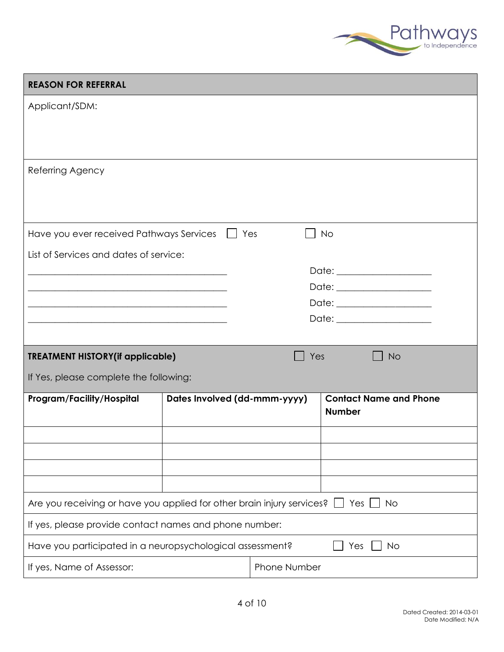

| <b>REASON FOR REFERRAL</b>                                             |                              |              |                                                |  |
|------------------------------------------------------------------------|------------------------------|--------------|------------------------------------------------|--|
| Applicant/SDM:                                                         |                              |              |                                                |  |
|                                                                        |                              |              |                                                |  |
|                                                                        |                              |              |                                                |  |
| Referring Agency                                                       |                              |              |                                                |  |
|                                                                        |                              |              |                                                |  |
|                                                                        |                              |              |                                                |  |
| Have you ever received Pathways Services                               | Yes                          |              | <b>No</b>                                      |  |
| List of Services and dates of service:                                 |                              |              |                                                |  |
|                                                                        |                              |              | Date: ____________________                     |  |
|                                                                        |                              |              | Date: ________________________                 |  |
|                                                                        |                              |              |                                                |  |
|                                                                        |                              |              |                                                |  |
| <b>TREATMENT HISTORY(if applicable)</b>                                |                              | Yes          | <b>No</b>                                      |  |
| If Yes, please complete the following:                                 |                              |              |                                                |  |
| Program/Facility/Hospital                                              | Dates Involved (dd-mmm-yyyy) |              | <b>Contact Name and Phone</b><br><b>Number</b> |  |
|                                                                        |                              |              |                                                |  |
|                                                                        |                              |              |                                                |  |
|                                                                        |                              |              |                                                |  |
|                                                                        |                              |              |                                                |  |
| Are you receiving or have you applied for other brain injury services? |                              |              | Yes<br><b>No</b>                               |  |
| If yes, please provide contact names and phone number:                 |                              |              |                                                |  |
| Have you participated in a neuropsychological assessment?              |                              |              | <b>No</b><br>Yes                               |  |
| If yes, Name of Assessor:                                              |                              | Phone Number |                                                |  |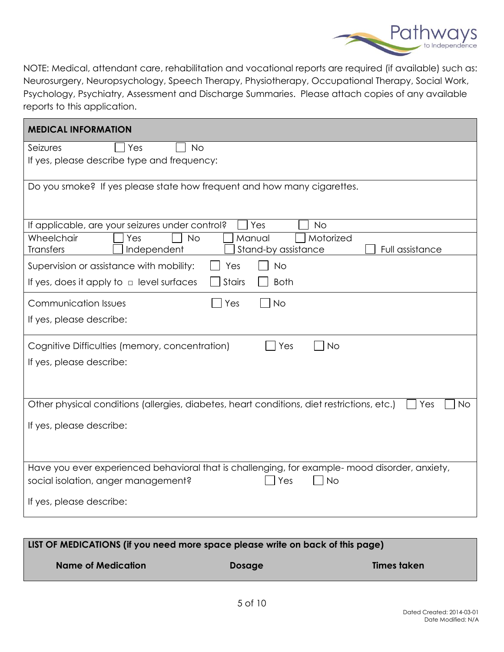

NOTE: Medical, attendant care, rehabilitation and vocational reports are required (if available) such as: Neurosurgery, Neuropsychology, Speech Therapy, Physiotherapy, Occupational Therapy, Social Work, Psychology, Psychiatry, Assessment and Discharge Summaries. Please attach copies of any available reports to this application.

| <b>MEDICAL INFORMATION</b>                                                                                                                                |
|-----------------------------------------------------------------------------------------------------------------------------------------------------------|
| Seizures<br>Yes<br><b>No</b><br>If yes, please describe type and frequency:                                                                               |
| Do you smoke? If yes please state how frequent and how many cigarettes.                                                                                   |
| If applicable, are your seizures under control?<br>Yes<br><b>No</b>                                                                                       |
| Wheelchair<br>Yes<br>Manual<br>Motorized<br>No<br>Full assistance<br><b>Transfers</b><br>Stand-by assistance<br>Independent                               |
| Supervision or assistance with mobility:<br>Yes<br><b>No</b>                                                                                              |
| If yes, does it apply to $\Box$ level surfaces<br><b>Stairs</b><br><b>Both</b>                                                                            |
| <b>Communication Issues</b><br><b>No</b><br>Yes                                                                                                           |
| If yes, please describe:                                                                                                                                  |
| Cognitive Difficulties (memory, concentration)<br>Yes<br>No                                                                                               |
| If yes, please describe:                                                                                                                                  |
| Other physical conditions (allergies, diabetes, heart conditions, diet restrictions, etc.)<br>  Yes<br><b>No</b>                                          |
| If yes, please describe:                                                                                                                                  |
|                                                                                                                                                           |
| Have you ever experienced behavioral that is challenging, for example- mood disorder, anxiety,<br><b>No</b><br>social isolation, anger management?<br>Yes |
| If yes, please describe:                                                                                                                                  |

| LIST OF MEDICATIONS (if you need more space please write on back of this page) |               |                    |  |
|--------------------------------------------------------------------------------|---------------|--------------------|--|
| <b>Name of Medication</b>                                                      | <b>Dosage</b> | <b>Times taken</b> |  |
|                                                                                |               |                    |  |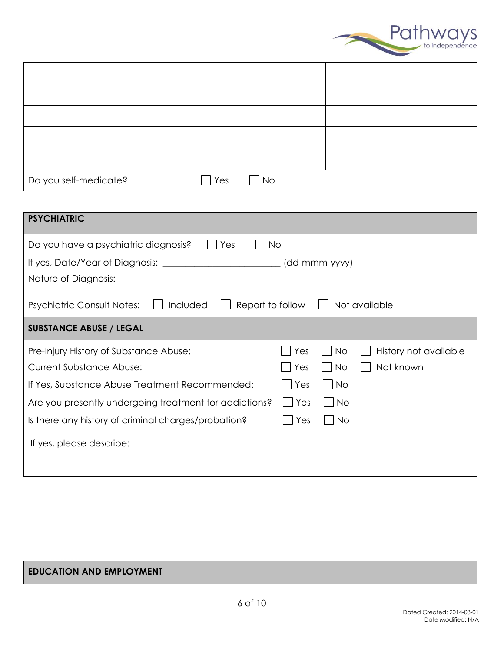

| Do you self-medicate? | $\Box$ Yes | $\Box$ No |  |
|-----------------------|------------|-----------|--|

| <b>PSYCHIATRIC</b>                                                                 |     |                             |                       |  |  |
|------------------------------------------------------------------------------------|-----|-----------------------------|-----------------------|--|--|
| Do you have a psychiatric diagnosis?<br><b>No</b><br>Yes                           |     |                             |                       |  |  |
| If yes, Date/Year of Diagnosis:                                                    |     | (dd-mmm-yyyy)               |                       |  |  |
| Nature of Diagnosis:                                                               |     |                             |                       |  |  |
| Included<br>Not available<br><b>Psychiatric Consult Notes:</b><br>Report to follow |     |                             |                       |  |  |
| <b>SUBSTANCE ABUSE / LEGAL</b>                                                     |     |                             |                       |  |  |
| Pre-Injury History of Substance Abuse:                                             | Yes | <b>No</b>                   | History not available |  |  |
| <b>Current Substance Abuse:</b>                                                    | Yes | <b>No</b>                   | Not known             |  |  |
| If Yes, Substance Abuse Treatment Recommended:                                     | Yes | $\overline{\phantom{1}}$ No |                       |  |  |
| Are you presently undergoing treatment for addictions?                             | Yes | <b>No</b>                   |                       |  |  |
| Is there any history of criminal charges/probation?                                | Yes | <b>No</b>                   |                       |  |  |
| If yes, please describe:                                                           |     |                             |                       |  |  |
|                                                                                    |     |                             |                       |  |  |

## **EDUCATION AND EMPLOYMENT**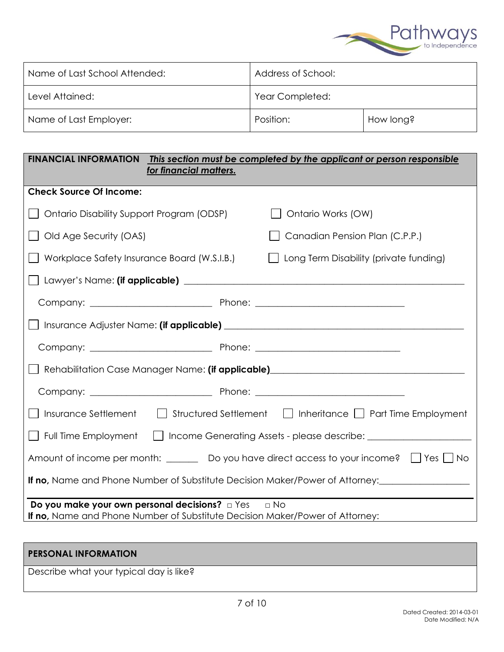

| Name of Last School Attended: | Address of School: |           |
|-------------------------------|--------------------|-----------|
| Level Attained:               | Year Completed:    |           |
| Name of Last Employer:        | Position:          | How long? |

| <b>FINANCIAL INFORMATION</b><br>for financial matters.                                                                                | This section must be completed by the applicant or person responsible |  |  |
|---------------------------------------------------------------------------------------------------------------------------------------|-----------------------------------------------------------------------|--|--|
| <b>Check Source Of Income:</b>                                                                                                        |                                                                       |  |  |
| Ontario Disability Support Program (ODSP)                                                                                             | Ontario Works (OW)                                                    |  |  |
| Old Age Security (OAS)                                                                                                                | Canadian Pension Plan (C.P.P.)                                        |  |  |
| Workplace Safety Insurance Board (W.S.I.B.)                                                                                           | Long Term Disability (private funding)                                |  |  |
|                                                                                                                                       |                                                                       |  |  |
|                                                                                                                                       |                                                                       |  |  |
|                                                                                                                                       |                                                                       |  |  |
|                                                                                                                                       |                                                                       |  |  |
| Rehabilitation Case Manager Name: (if applicable)_______________________________                                                      |                                                                       |  |  |
|                                                                                                                                       |                                                                       |  |  |
| Insurance Settlement Structured Settlement   Inheritance   Part Time Employment                                                       |                                                                       |  |  |
| Full Time Employment     Income Generating Assets - please describe: ____________                                                     |                                                                       |  |  |
| Amount of income per month: $\Box$ Do you have direct access to your income? $\Box$ Yes $\Box$ No                                     |                                                                       |  |  |
| <b>If no, Name and Phone Number of Substitute Decision Maker/Power of Attorney:</b> __________________________________                |                                                                       |  |  |
| Do you make your own personal decisions? <b>D</b> Yes<br>If no, Name and Phone Number of Substitute Decision Maker/Power of Attorney: | $\Box$ No                                                             |  |  |

| <b>PERSONAL INFORMATION</b>             |  |
|-----------------------------------------|--|
| Describe what your typical day is like? |  |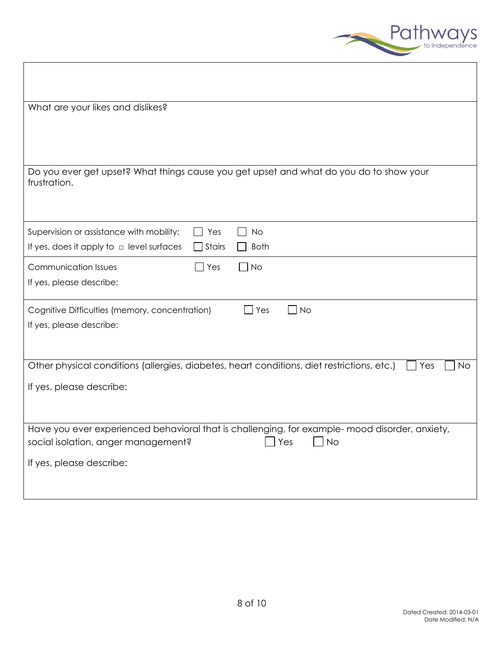

| What are your likes and dislikes?                                                                                                                                                     |
|---------------------------------------------------------------------------------------------------------------------------------------------------------------------------------------|
| Do you ever get upset? What things cause you get upset and what do you do to show your<br>frustration.                                                                                |
| Supervision or assistance with mobility:<br>$\Box$ Yes<br><b>No</b><br>If yes, does it apply to $\Box$ level surfaces<br>$\exists$ Stairs<br><b>Both</b>                              |
| <b>Communication Issues</b><br>$\Box$ Yes<br>∩ No<br>If yes, please describe:                                                                                                         |
| Cognitive Difficulties (memory, concentration)<br>$\Box$ No<br>$\Box$ Yes<br>If yes, please describe:                                                                                 |
| Other physical conditions (allergies, diabetes, heart conditions, diet restrictions, etc.)<br>Yes<br><b>No</b>                                                                        |
| If yes, please describe:                                                                                                                                                              |
| Have you ever experienced behavioral that is challenging, for example- mood disorder, anxiety,<br>social isolation, anger management?<br>Yes<br><b>No</b><br>If yes, please describe: |
|                                                                                                                                                                                       |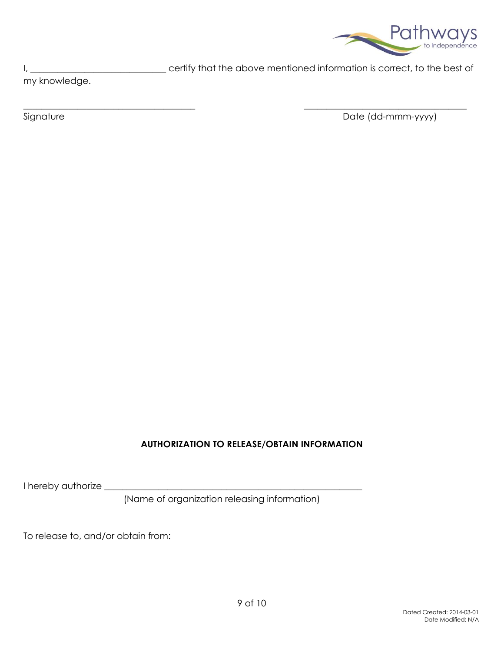

I, \_\_\_\_\_\_\_\_\_\_\_\_\_\_\_\_\_\_\_\_\_\_\_\_\_\_\_\_\_\_\_\_\_\_ certify that the above mentioned information is correct, to the best of

my knowledge.

Signature Date (dd-mmm-yyyy)

## **AUTHORIZATION TO RELEASE/OBTAIN INFORMATION**

 $\_$  , and the set of the set of the set of the set of the set of the set of the set of the set of the set of the set of the set of the set of the set of the set of the set of the set of the set of the set of the set of th

I hereby authorize \_

(Name of organization releasing information)

To release to, and/or obtain from: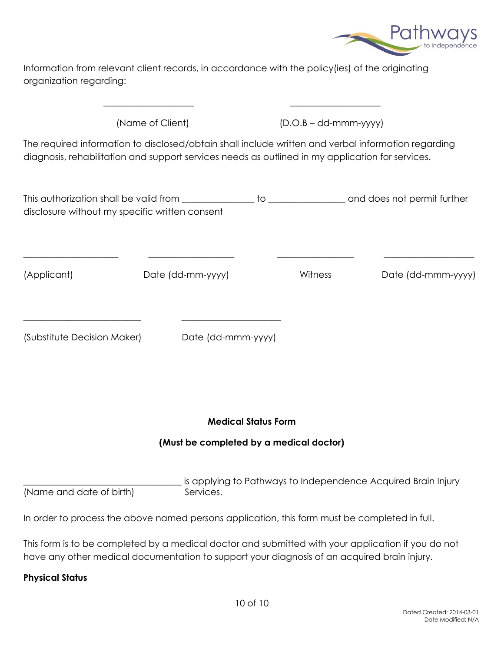

Information from relevant client records, in accordance with the policy(ies) of the originating organization regarding:

 $\mathcal{L}_\mathcal{L} = \mathcal{L}_\mathcal{L} = \mathcal{L}_\mathcal{L} = \mathcal{L}_\mathcal{L} = \mathcal{L}_\mathcal{L} = \mathcal{L}_\mathcal{L} = \mathcal{L}_\mathcal{L} = \mathcal{L}_\mathcal{L} = \mathcal{L}_\mathcal{L} = \mathcal{L}_\mathcal{L} = \mathcal{L}_\mathcal{L} = \mathcal{L}_\mathcal{L} = \mathcal{L}_\mathcal{L} = \mathcal{L}_\mathcal{L} = \mathcal{L}_\mathcal{L} = \mathcal{L}_\mathcal{L} = \mathcal{L}_\mathcal{L}$ 

\_\_\_\_\_\_\_\_\_\_\_\_\_\_\_\_\_\_\_\_\_\_\_\_\_\_ \_\_\_\_\_\_\_\_\_\_\_\_\_\_\_\_\_\_\_\_\_\_

(Name of Client) (D.O.B – dd-mmm-yyyy)

The required information to disclosed/obtain shall include written and verbal information regarding diagnosis, rehabilitation and support services needs as outlined in my application for services.

| This authorization shall be valid from         | and does not permit further |
|------------------------------------------------|-----------------------------|
| disclosure without my specific written consent |                             |

\_\_\_\_\_\_\_\_\_\_\_\_\_\_\_\_\_\_\_\_\_ \_\_\_\_\_\_\_\_\_\_\_\_\_\_\_\_\_\_\_ \_\_\_\_\_\_\_\_\_\_\_\_\_\_\_\_\_ \_\_\_\_\_\_\_\_\_\_\_\_\_\_\_\_\_\_\_\_

(Applicant) Date (dd-mm-yyyy) Witness Date (dd-mmm-yyyy)

(Substitute Decision Maker) Date (dd-mmm-yyyy)

#### **Medical Status Form**

#### **(Must be completed by a medical doctor)**

is applying to Pathways to Independence Acquired Brain Injury (Name and date of birth) Services.

In order to process the above named persons application, this form must be completed in full.

This form is to be completed by a medical doctor and submitted with your application if you do not have any other medical documentation to support your diagnosis of an acquired brain injury.

#### **Physical Status**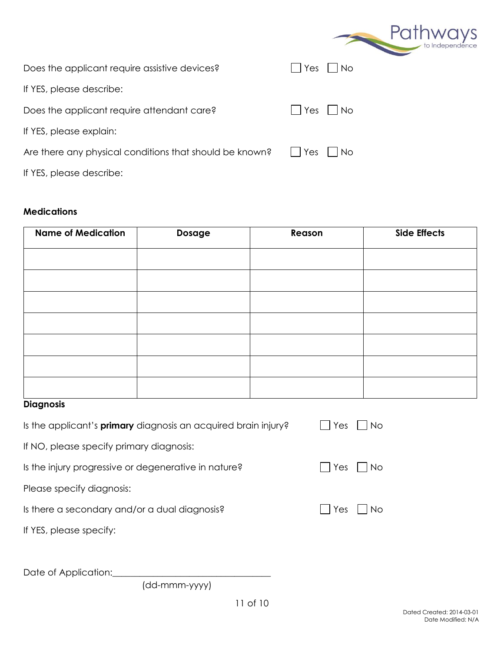|                                                         | Pathways              |
|---------------------------------------------------------|-----------------------|
| Does the applicant require assistive devices?           | No<br>Yes             |
| If YES, please describe:                                |                       |
| Does the applicant require attendant care?              | No.<br>Yes            |
| If YES, please explain:                                 |                       |
| Are there any physical conditions that should be known? | No.<br>Yes<br>$\perp$ |
| If YES, please describe:                                |                       |

## **Medications**

| <b>Name of Medication</b> | Dosage | Reason | <b>Side Effects</b> |
|---------------------------|--------|--------|---------------------|
|                           |        |        |                     |
|                           |        |        |                     |
|                           |        |        |                     |
|                           |        |        |                     |
|                           |        |        |                     |
|                           |        |        |                     |
|                           |        |        |                     |

# **Diagnosis**

| Is the applicant's <b>primary</b> diagnosis an acquired brain injury? | Yes<br><b>No</b> |
|-----------------------------------------------------------------------|------------------|
| If NO, please specify primary diagnosis:                              |                  |
| Is the injury progressive or degenerative in nature?                  | Yes<br>l No      |
| Please specify diagnosis:                                             |                  |
| Is there a secondary and/or a dual diagnosis?                         | l Yes<br>l No    |
| If YES, please specify:                                               |                  |
|                                                                       |                  |
|                                                                       |                  |

Date of Application:

(dd-mmm-yyyy)